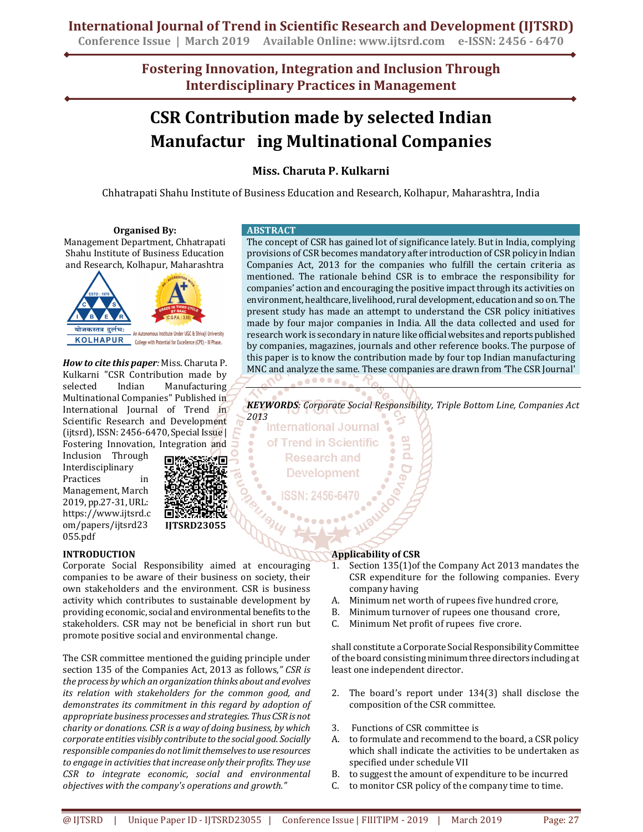**Conference Issue | March 2019 Available Online: www.ijtsrd.com e-ISSN: 2456 - 6470**

**Fostering Innovation, Integration and Inclusion Through Interdisciplinary Practices in Management**

# **CSR Contribution made by selected Indian Manufactur ing Multinational Companies**

### **Miss. Charuta P. Kulkarni**

Chhatrapati Shahu Institute of Business Education and Research, Kolhapur, Maharashtra, India

#### **Organised By:**

Management Department, Chhatrapati Shahu Institute of Business Education and Research, Kolhapur, Maharashtra



*How to cite this paper:* Miss. Charuta P. Kulkarni "CSR Contribution made by selected Indian Manufacturing Multinational Companies" Published in International Journal of Trend in Scientific Research and Development (ijtsrd), ISSN: 2456-6470, Special Issue | Fostering Innovation, Integration and

Inclusion Through Interdisciplinary Practices in Management, March 2019, pp.27-31, URL: https://www.ijtsrd.c om/papers/ijtsrd23 055.pdf

#### **INTRODUCTION**

Corporate Social Responsibility aimed at encouraging companies to be aware of their business on society, their own stakeholders and the environment. CSR is business activity which contributes to sustainable development by providing economic, social and environmental benefits to the stakeholders. CSR may not be beneficial in short run but promote positive social and environmental change.

**IJTSRD23055**

The CSR committee mentioned the guiding principle under section 135 of the Companies Act, 2013 as follows*," CSR is the process by which an organization thinks about and evolves its relation with stakeholders for the common good, and demonstrates its commitment in this regard by adoption of appropriate business processes and strategies. Thus CSR is not charity or donations. CSR is a way of doing business, by which corporate entities visibly contribute to the social good. Socially responsible companies do not limit themselves to use resources to engage in activities that increase only their profits. They use CSR to integrate economic, social and environmental objectives with the company's operations and growth."* 

#### **ABSTRACT**

The concept of CSR has gained lot of significance lately. But in India, complying provisions of CSR becomes mandatory after introduction of CSR policy in Indian Companies Act, 2013 for the companies who fulfill the certain criteria as mentioned. The rationale behind CSR is to embrace the responsibility for companies' action and encouraging the positive impact through its activities on environment, healthcare, livelihood, rural development, education and so on. The present study has made an attempt to understand the CSR policy initiatives made by four major companies in India. All the data collected and used for research work is secondary in nature like official websites and reports published by companies, magazines, journals and other reference books. The purpose of this paper is to know the contribution made by four top Indian manufacturing MNC and analyze the same. These companies are drawn from 'The CSR Journal' **......** 

*KEYWORDS: Corporate Social Responsibility, Triple Bottom Line, Companies Act* 

**2013**<br>• International Journal of Trend in Scientific **Research and Development** 

#### **Applicability of CSR**

- 1. Section 135(1)of the Company Act 2013 mandates the CSR expenditure for the following companies. Every company having
- A. Minimum net worth of rupees five hundred crore,
- B. Minimum turnover of rupees one thousand crore,
- C. Minimum Net profit of rupees five crore.

shall constitute a Corporate Social Responsibility Committee of the board consisting minimum three directors including at least one independent director.

- 2. The board's report under 134(3) shall disclose the composition of the CSR committee.
- 3. Functions of CSR committee is
- A. to formulate and recommend to the board, a CSR policy which shall indicate the activities to be undertaken as specified under schedule VII
- B. to suggest the amount of expenditure to be incurred
- C. to monitor CSR policy of the company time to time.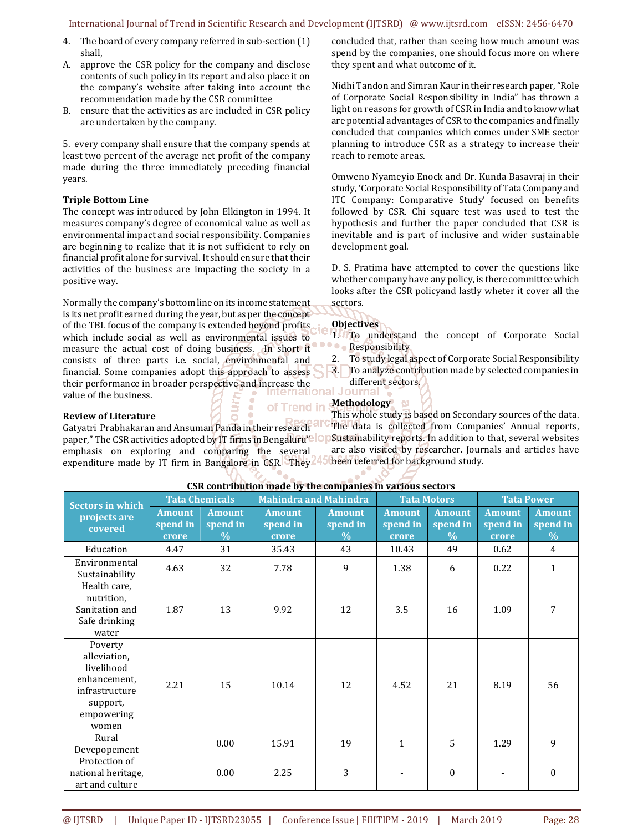#### International Journal of Trend in Scientific Research and Development (IJTSRD) @ www.ijtsrd.com eISSN: 2456-6470

- 4. The board of every company referred in sub-section (1) shall,
- A. approve the CSR policy for the company and disclose contents of such policy in its report and also place it on the company's website after taking into account the recommendation made by the CSR committee
- B. ensure that the activities as are included in CSR policy are undertaken by the company.

5. every company shall ensure that the company spends at least two percent of the average net profit of the company made during the three immediately preceding financial years.

#### **Triple Bottom Line**

The concept was introduced by John Elkington in 1994. It measures company's degree of economical value as well as environmental impact and social responsibility. Companies are beginning to realize that it is not sufficient to rely on financial profit alone for survival. It should ensure that their activities of the business are impacting the society in a positive way.

Normally the company's bottom line on its income statement is its net profit earned during the year, but as per the concept of the TBL focus of the company is extended beyond profits which include social as well as environmental issues to measure the actual cost of doing business. In short it consists of three parts i.e. social, environmental and financial. Some companies adopt this approach to assess their performance in broader perspective and increase the different value of the business value of the business.

concluded that, rather than seeing how much amount was spend by the companies, one should focus more on where they spent and what outcome of it.

Nidhi Tandon and Simran Kaur in their research paper, "Role of Corporate Social Responsibility in India" has thrown a light on reasons for growth of CSR in India and to know what are potential advantages of CSR to the companies and finally concluded that companies which comes under SME sector planning to introduce CSR as a strategy to increase their reach to remote areas.

Omweno Nyameyio Enock and Dr. Kunda Basavraj in their study, 'Corporate Social Responsibility of Tata Company and ITC Company: Comparative Study' focused on benefits followed by CSR. Chi square test was used to test the hypothesis and further the paper concluded that CSR is inevitable and is part of inclusive and wider sustainable development goal.

D. S. Pratima have attempted to cover the questions like whether company have any policy, is there committee which looks after the CSR policyand lastly wheter it cover all the sectors.

#### **Objectives**

- 1. To understand the concept of Corporate Social **Responsibility** 
	- 2. To study legal aspect of Corporate Social Responsibility
	- 3. To analyze contribution made by selected companies in
	- different sectors.

### **Methodology**

of Trend in This whole study is based on Secondary sources of the data. **Review of Literature**  The data is collected from Companies' Annual reports, Gatyatri Prabhakaran and Ansuman Panda in their research paper," The CSR activities adopted by IT firms in Bengaluru? OP Sustainability reports. In addition to that, several websites are also visited by researcher. Journals and articles have emphasis on exploring and comparing the several expenditure made by IT firm in Bangalore in CSR. They been referred for background study.

| CSK CONCLIDENTION made by the companies in various sectors                                                 |                                    |                                            |                                    |                                   |                                    |                                            |                                    |                                            |  |  |  |
|------------------------------------------------------------------------------------------------------------|------------------------------------|--------------------------------------------|------------------------------------|-----------------------------------|------------------------------------|--------------------------------------------|------------------------------------|--------------------------------------------|--|--|--|
| Sectors in which<br>projects are<br>covered                                                                | <b>Tata Chemicals</b>              |                                            | <b>Mahindra and Mahindra</b>       |                                   | <b>Tata Motors</b>                 |                                            | <b>Tata Power</b>                  |                                            |  |  |  |
|                                                                                                            | <b>Amount</b><br>spend in<br>crore | <b>Amount</b><br>spend in<br>$\frac{0}{0}$ | <b>Amount</b><br>spend in<br>crore | <b>Amount</b><br>spend in<br>$\%$ | <b>Amount</b><br>spend in<br>crore | <b>Amount</b><br>spend in<br>$\frac{0}{0}$ | <b>Amount</b><br>spend in<br>crore | <b>Amount</b><br>spend in<br>$\frac{0}{0}$ |  |  |  |
| Education                                                                                                  | 4.47                               | 31                                         | 35.43                              | 43                                | 10.43                              | 49                                         | 0.62                               | 4                                          |  |  |  |
| Environmental<br>Sustainability                                                                            | 4.63                               | 32                                         | 7.78                               | 9                                 | 1.38                               | 6                                          | 0.22                               | $\mathbf{1}$                               |  |  |  |
| Health care,<br>nutrition,<br>Sanitation and<br>Safe drinking<br>water                                     | 1.87                               | 13                                         | 9.92                               | 12                                | 3.5                                | 16                                         | 1.09                               | 7                                          |  |  |  |
| Poverty<br>alleviation,<br>livelihood<br>enhancement,<br>infrastructure<br>support,<br>empowering<br>women | 2.21                               | 15                                         | 10.14                              | 12                                | 4.52                               | 21                                         | 8.19                               | 56                                         |  |  |  |
| Rural<br>Devepopement                                                                                      |                                    | 0.00                                       | 15.91                              | 19                                | $\mathbf{1}$                       | 5                                          | 1.29                               | 9                                          |  |  |  |
| Protection of<br>national heritage,<br>art and culture                                                     |                                    | 0.00                                       | 2.25                               | 3                                 |                                    | $\boldsymbol{0}$                           |                                    | $\Omega$                                   |  |  |  |

## **CSR contribution made by the companies in various sectors**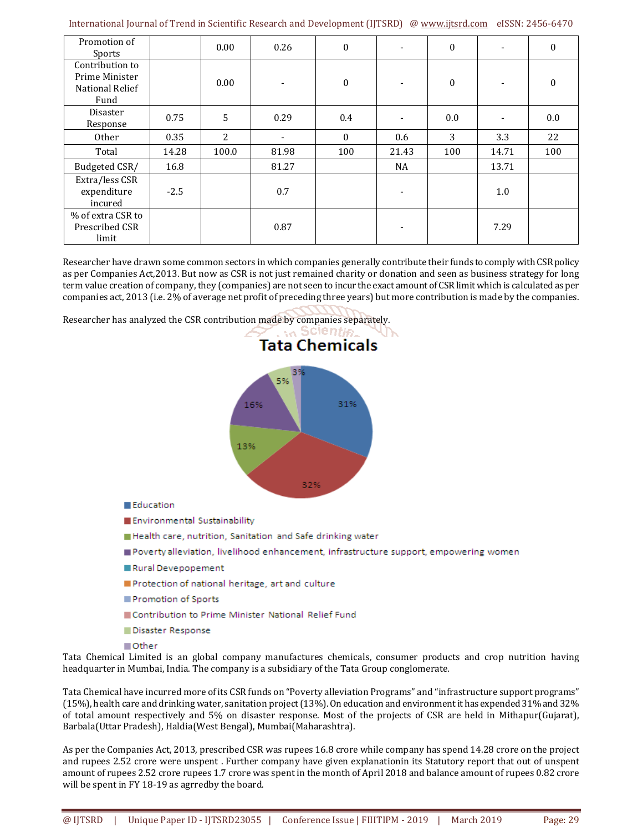| Promotion of<br>Sports                                              |        | 0.00           | 0.26  | $\mathbf{0}$     | $\overline{\phantom{a}}$ | $\boldsymbol{0}$ |       | $\Omega$ |
|---------------------------------------------------------------------|--------|----------------|-------|------------------|--------------------------|------------------|-------|----------|
| Contribution to<br>Prime Minister<br><b>National Relief</b><br>Fund |        | 0.00           | -     | $\boldsymbol{0}$ |                          | $\boldsymbol{0}$ |       | $\bf{0}$ |
| Disaster<br>Response                                                | 0.75   | 5              | 0.29  | 0.4              |                          | 0.0              |       | $0.0\,$  |
| Other                                                               | 0.35   | $\overline{2}$ | ٠     | $\theta$         | 0.6                      | 3                | 3.3   | 22       |
| Total                                                               | 14.28  | 100.0          | 81.98 | 100              | 21.43                    | 100              | 14.71 | 100      |
| Budgeted CSR/                                                       | 16.8   |                | 81.27 |                  | <b>NA</b>                |                  | 13.71 |          |
| Extra/less CSR<br>expenditure<br>incured                            | $-2.5$ |                | 0.7   |                  | $\blacksquare$           |                  | 1.0   |          |
| % of extra CSR to<br>Prescribed CSR<br>limit                        |        |                | 0.87  |                  |                          |                  | 7.29  |          |

Researcher have drawn some common sectors in which companies generally contribute their funds to comply with CSR policy as per Companies Act,2013. But now as CSR is not just remained charity or donation and seen as business strategy for long term value creation of company, they (companies) are not seen to incur the exact amount of CSR limit which is calculated as per companies act, 2013 (i.e. 2% of average net profit of preceding three years) but more contribution is made by the companies.

Researcher has analyzed the CSR contribution made by companies separately.



- Disaster Response
- Other

Tata Chemical Limited is an global company manufactures chemicals, consumer products and crop nutrition having headquarter in Mumbai, India. The company is a subsidiary of the Tata Group conglomerate.

Tata Chemical have incurred more of its CSR funds on "Poverty alleviation Programs" and "infrastructure support programs" (15%), health care and drinking water, sanitation project (13%). On education and environment it has expended 31% and 32% of total amount respectively and 5% on disaster response. Most of the projects of CSR are held in Mithapur(Gujarat), Barbala(Uttar Pradesh), Haldia(West Bengal), Mumbai(Maharashtra).

As per the Companies Act, 2013, prescribed CSR was rupees 16.8 crore while company has spend 14.28 crore on the project and rupees 2.52 crore were unspent . Further company have given explanationin its Statutory report that out of unspent amount of rupees 2.52 crore rupees 1.7 crore was spent in the month of April 2018 and balance amount of rupees 0.82 crore will be spent in FY 18-19 as agrredby the board.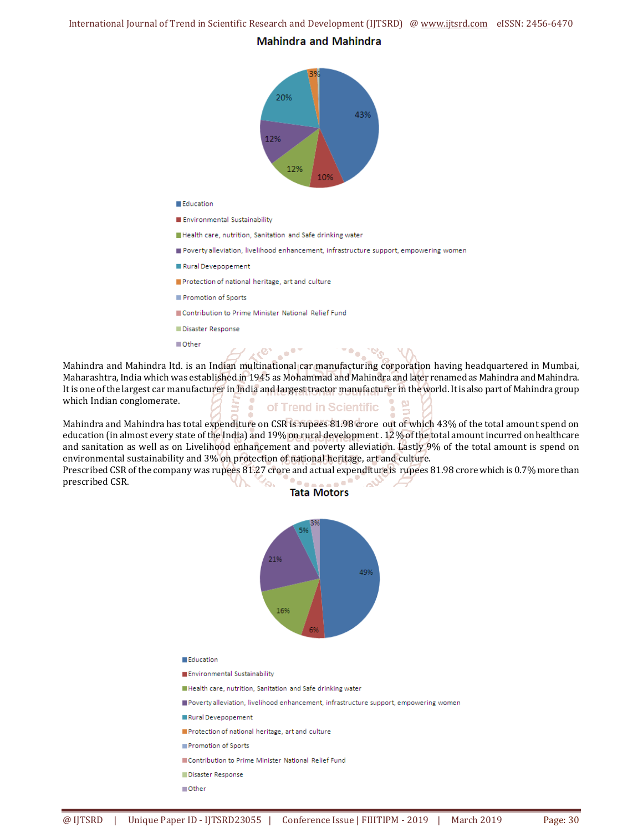International Journal of Trend in Scientific Research and Development (IJTSRD) @ www.ijtsrd.com eISSN: 2456-6470

#### **Mahindra and Mahindra**



Mahindra and Mahindra ltd. is an Indian multinational car manufacturing corporation having headquartered in Mumbai, Maharashtra, India which was established in 1945 as Mohammad and Mahindra and later renamed as Mahindra and Mahindra. It is one of the largest car manufacturer in India and largest tractor manufacturer in the world. It is also part of Mahindra group which Indian conglomerate. of Trend in Scientific

Mahindra and Mahindra has total expenditure on CSR is rupees 81.98 crore out of which 43% of the total amount spend on education (in almost every state of the India) and 19% on rural development . 12% of the total amount incurred on healthcare and sanitation as well as on Livelihood enhancement and poverty alleviation. Lastly 9% of the total amount is spend on environmental sustainability and 3% on protection of national heritage, art and culture.

Prescribed CSR of the company was rupees 81.27 crore and actual expenditure is rupees 81.98 crore which is 0.7% more than Po⊿ prescribed CSR. へ  $\sim$ ╲ **Tata Motors** 



- Protection of national heritage, art and culture
- Promotion of Sports
- Contribution to Prime Minister National Relief Fund
- Disaster Response
- ■Other

Education